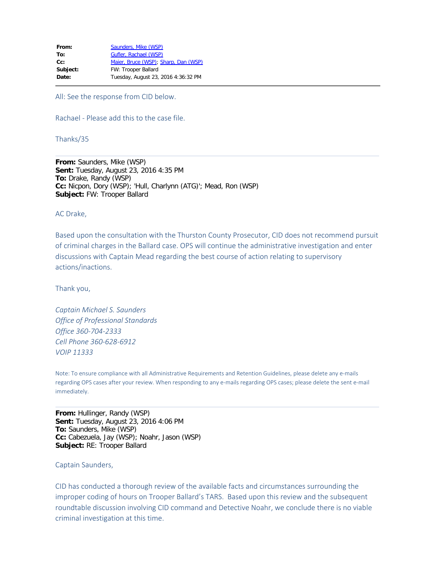| From:    | Saunders, Mike (WSP)                 |
|----------|--------------------------------------|
| To:      | Gufler, Rachael (WSP)                |
| $Cc$ :   | Maier, Bruce (WSP); Sharp, Dan (WSP) |
| Subject: | FW: Trooper Ballard                  |
| Date:    | Tuesday, August 23, 2016 4:36:32 PM  |
|          |                                      |

All: See the response from CID below.

Rachael - Please add this to the case file.

Thanks/35

**From:** Saunders, Mike (WSP) **Sent:** Tuesday, August 23, 2016 4:35 PM **To:** Drake, Randy (WSP) **Cc:** Nicpon, Dory (WSP); 'Hull, Charlynn (ATG)'; Mead, Ron (WSP) **Subject:** FW: Trooper Ballard

AC Drake,

Based upon the consultation with the Thurston County Prosecutor, CID does not recommend pursuit of criminal charges in the Ballard case. OPS will continue the administrative investigation and enter discussions with Captain Mead regarding the best course of action relating to supervisory actions/inactions.

Thank you,

*Captain Michael S. Saunders Office of Professional Standards Office 360-704-2333 Cell Phone 360-628-6912 VOIP 11333*

Note: To ensure compliance with all Administrative Requirements and Retention Guidelines, please delete any e-mails regarding OPS cases after your review. When responding to any e-mails regarding OPS cases; please delete the sent e-mail immediately.

**From:** Hullinger, Randy (WSP) **Sent:** Tuesday, August 23, 2016 4:06 PM **To:** Saunders, Mike (WSP) **Cc:** Cabezuela, Jay (WSP); Noahr, Jason (WSP) **Subject:** RE: Trooper Ballard

## Captain Saunders,

CID has conducted a thorough review of the available facts and circumstances surrounding the improper coding of hours on Trooper Ballard's TARS. Based upon this review and the subsequent roundtable discussion involving CID command and Detective Noahr, we conclude there is no viable criminal investigation at this time.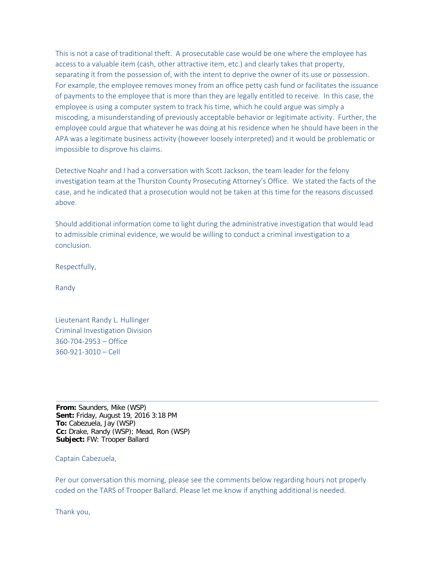This is not a case of traditional theft. A prosecutable case would be one where the employee has access to a valuable item (cash, other attractive item, etc.) and clearly takes that property, separating it from the possession of, with the intent to deprive the owner of its use or possession. For example, the employee removes money from an office petty cash fund or facilitates the issuance of payments to the employee that is more than they are legally entitled to receive. In this case, the employee is using a computer system to track his time, which he could argue was simply a miscoding, a misunderstanding of previously acceptable behavior or legitimate activity. Further, the employee could argue that whatever he was doing at his residence when he should have been in the APA was a legitimate business activity (however loosely interpreted) and it would be problematic or impossible to disprove his claims.

Detective Noahr and I had a conversation with Scott Jackson, the team leader for the felony investigation team at the Thurston County Prosecuting Attorney's Office. We stated the facts of the case, and he indicated that a prosecution would not be taken at this time for the reasons discussed above.

Should additional information come to light during the administrative investigation that would lead to admissible criminal evidence, we would be willing to conduct a criminal investigation to a conclusion.

Respectfully,

Randy

Lieutenant Randy L. Hullinger Criminal Investigation Division 360-704-2953 – Office 360-921-3010 – Cell

**From:** Saunders, Mike (WSP) **Sent:** Friday, August 19, 2016 3:18 PM **To:** Cabezuela, Jay (WSP) **Cc:** Drake, Randy (WSP); Mead, Ron (WSP) **Subject:** FW: Trooper Ballard

## Captain Cabezuela,

Per our conversation this morning, please see the comments below regarding hours not properly coded on the TARS of Trooper Ballard. Please let me know if anything additional is needed.

Thank you,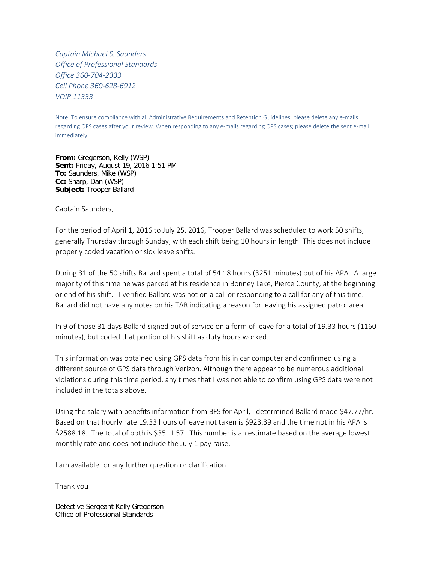*Captain Michael S. Saunders Office of Professional Standards Office 360-704-2333 Cell Phone 360-628-6912 VOIP 11333*

Note: To ensure compliance with all Administrative Requirements and Retention Guidelines, please delete any e-mails regarding OPS cases after your review. When responding to any e-mails regarding OPS cases; please delete the sent e-mail immediately.

**From:** Gregerson, Kelly (WSP) **Sent:** Friday, August 19, 2016 1:51 PM **To:** Saunders, Mike (WSP) **Cc:** Sharp, Dan (WSP) **Subject:** Trooper Ballard

Captain Saunders,

For the period of April 1, 2016 to July 25, 2016, Trooper Ballard was scheduled to work 50 shifts, generally Thursday through Sunday, with each shift being 10 hours in length. This does not include properly coded vacation or sick leave shifts.

During 31 of the 50 shifts Ballard spent a total of 54.18 hours (3251 minutes) out of his APA. A large majority of this time he was parked at his residence in Bonney Lake, Pierce County, at the beginning or end of his shift. I verified Ballard was not on a call or responding to a call for any of this time. Ballard did not have any notes on his TAR indicating a reason for leaving his assigned patrol area.

In 9 of those 31 days Ballard signed out of service on a form of leave for a total of 19.33 hours (1160 minutes), but coded that portion of his shift as duty hours worked.

This information was obtained using GPS data from his in car computer and confirmed using a different source of GPS data through Verizon. Although there appear to be numerous additional violations during this time period, any times that I was not able to confirm using GPS data were not included in the totals above.

Using the salary with benefits information from BFS for April, I determined Ballard made \$47.77/hr. Based on that hourly rate 19.33 hours of leave not taken is \$923.39 and the time not in his APA is \$2588.18. The total of both is \$3511.57. This number is an estimate based on the average lowest monthly rate and does not include the July 1 pay raise.

I am available for any further question or clarification.

Thank you

Detective Sergeant Kelly Gregerson Office of Professional Standards